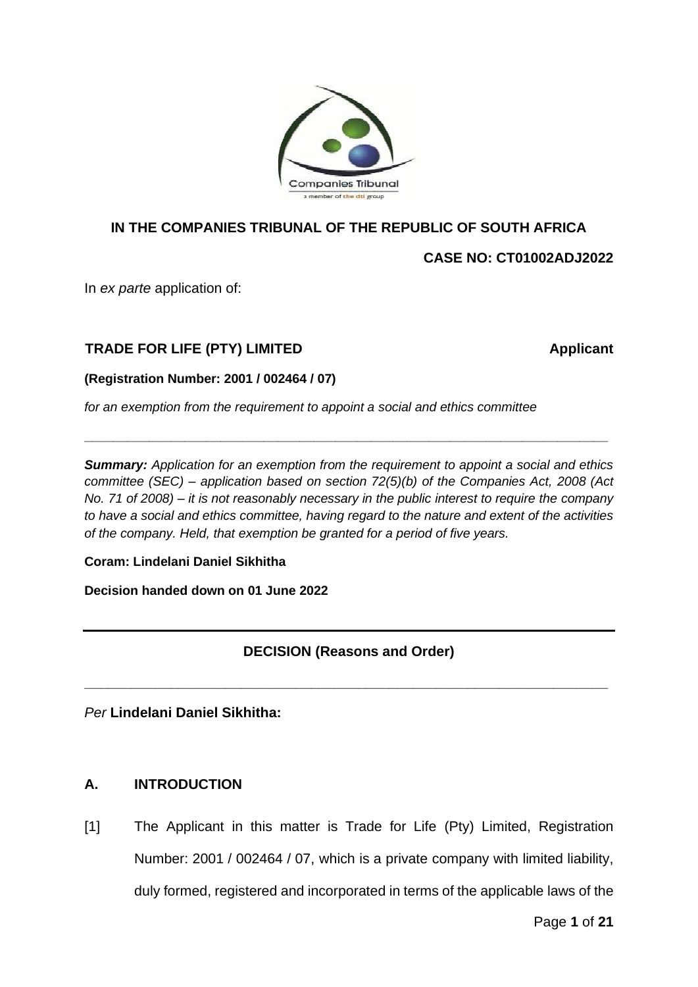

## **IN THE COMPANIES TRIBUNAL OF THE REPUBLIC OF SOUTH AFRICA**

**CASE NO: CT01002ADJ2022**

In *ex parte* application of:

## **TRADE FOR LIFE (PTY) LIMITED Applicant**

### **(Registration Number: 2001 / 002464 / 07)**

*for an exemption from the requirement to appoint a social and ethics committee*

*Summary: Application for an exemption from the requirement to appoint a social and ethics committee (SEC) – application based on section 72(5)(b) of the Companies Act, 2008 (Act No. 71 of 2008) – it is not reasonably necessary in the public interest to require the company to have a social and ethics committee, having regard to the nature and extent of the activities of the company. Held, that exemption be granted for a period of five years.*

**\_\_\_\_\_\_\_\_\_\_\_\_\_\_\_\_\_\_\_\_\_\_\_\_\_\_\_\_\_\_\_\_\_\_\_\_\_\_\_\_\_\_\_\_\_\_\_\_\_\_\_\_\_\_\_\_\_\_\_\_\_\_\_\_\_\_\_\_\_\_\_\_\_**

### **Coram: Lindelani Daniel Sikhitha**

**Decision handed down on 01 June 2022**

## **DECISION (Reasons and Order)**

**\_\_\_\_\_\_\_\_\_\_\_\_\_\_\_\_\_\_\_\_\_\_\_\_\_\_\_\_\_\_\_\_\_\_\_\_\_\_\_\_\_\_\_\_\_\_\_\_\_\_\_\_\_\_\_\_\_\_\_\_\_\_\_\_\_\_\_**

*Per* **Lindelani Daniel Sikhitha:**

### **A. INTRODUCTION**

[1] The Applicant in this matter is Trade for Life (Pty) Limited, Registration Number: 2001 / 002464 / 07, which is a private company with limited liability, duly formed, registered and incorporated in terms of the applicable laws of the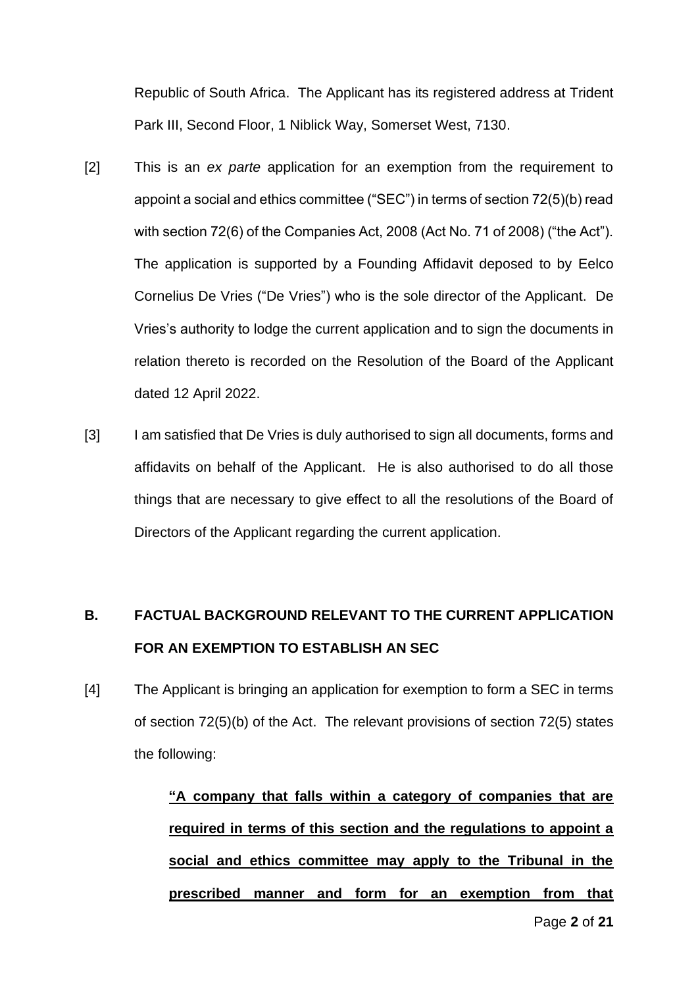Republic of South Africa. The Applicant has its registered address at Trident Park III, Second Floor, 1 Niblick Way, Somerset West, 7130.

- [2] This is an *ex parte* application for an exemption from the requirement to appoint a social and ethics committee ("SEC") in terms of section 72(5)(b) read with section 72(6) of the Companies Act, 2008 (Act No. 71 of 2008) ("the Act"). The application is supported by a Founding Affidavit deposed to by Eelco Cornelius De Vries ("De Vries") who is the sole director of the Applicant. De Vries's authority to lodge the current application and to sign the documents in relation thereto is recorded on the Resolution of the Board of the Applicant dated 12 April 2022.
- [3] I am satisfied that De Vries is duly authorised to sign all documents, forms and affidavits on behalf of the Applicant. He is also authorised to do all those things that are necessary to give effect to all the resolutions of the Board of Directors of the Applicant regarding the current application.

# **B. FACTUAL BACKGROUND RELEVANT TO THE CURRENT APPLICATION FOR AN EXEMPTION TO ESTABLISH AN SEC**

[4] The Applicant is bringing an application for exemption to form a SEC in terms of section 72(5)(b) of the Act. The relevant provisions of section 72(5) states the following:

> **"A company that falls within a category of companies that are required in terms of this section and the regulations to appoint a social and ethics committee may apply to the Tribunal in the prescribed manner and form for an exemption from that**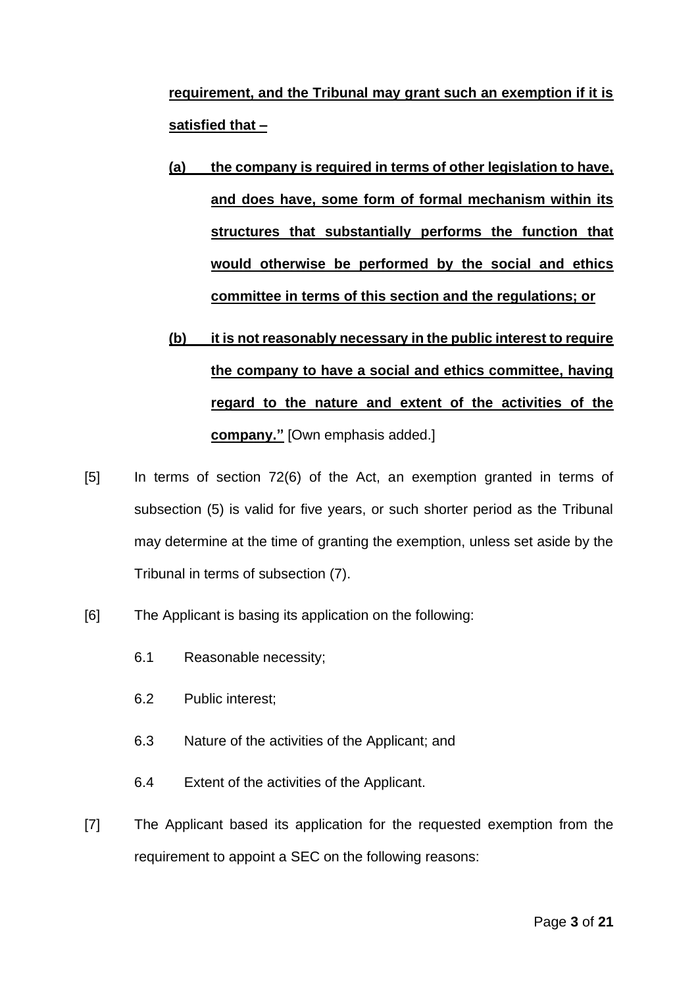**requirement, and the Tribunal may grant such an exemption if it is satisfied that –**

- **(a) the company is required in terms of other legislation to have, and does have, some form of formal mechanism within its structures that substantially performs the function that would otherwise be performed by the social and ethics committee in terms of this section and the regulations; or**
- **(b) it is not reasonably necessary in the public interest to require the company to have a social and ethics committee, having regard to the nature and extent of the activities of the company."** [Own emphasis added.]
- [5] In terms of section 72(6) of the Act, an exemption granted in terms of subsection (5) is valid for five years, or such shorter period as the Tribunal may determine at the time of granting the exemption, unless set aside by the Tribunal in terms of subsection (7).
- [6] The Applicant is basing its application on the following:
	- 6.1 Reasonable necessity;
	- 6.2 Public interest;
	- 6.3 Nature of the activities of the Applicant; and
	- 6.4 Extent of the activities of the Applicant.
- [7] The Applicant based its application for the requested exemption from the requirement to appoint a SEC on the following reasons: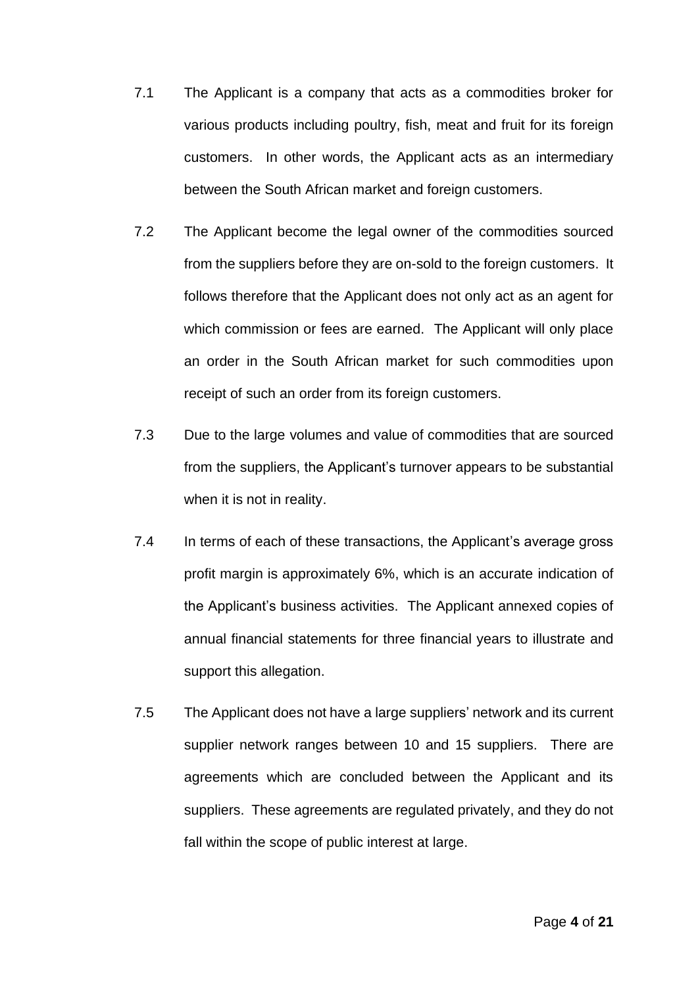- 7.1 The Applicant is a company that acts as a commodities broker for various products including poultry, fish, meat and fruit for its foreign customers. In other words, the Applicant acts as an intermediary between the South African market and foreign customers.
- 7.2 The Applicant become the legal owner of the commodities sourced from the suppliers before they are on-sold to the foreign customers. It follows therefore that the Applicant does not only act as an agent for which commission or fees are earned. The Applicant will only place an order in the South African market for such commodities upon receipt of such an order from its foreign customers.
- 7.3 Due to the large volumes and value of commodities that are sourced from the suppliers, the Applicant's turnover appears to be substantial when it is not in reality.
- 7.4 In terms of each of these transactions, the Applicant's average gross profit margin is approximately 6%, which is an accurate indication of the Applicant's business activities. The Applicant annexed copies of annual financial statements for three financial years to illustrate and support this allegation.
- 7.5 The Applicant does not have a large suppliers' network and its current supplier network ranges between 10 and 15 suppliers. There are agreements which are concluded between the Applicant and its suppliers. These agreements are regulated privately, and they do not fall within the scope of public interest at large.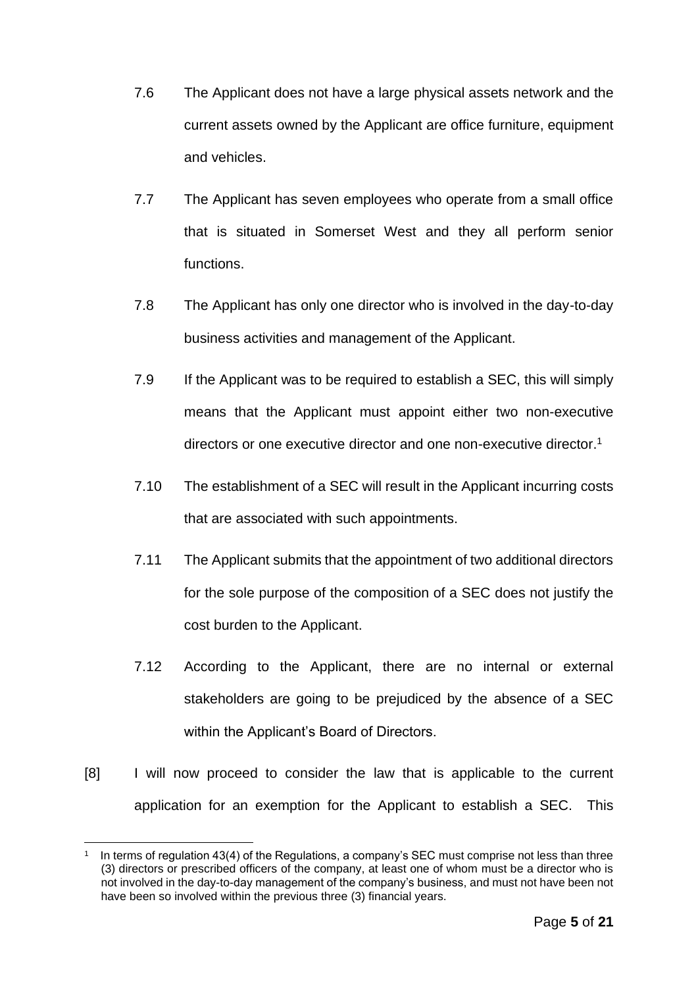- 7.6 The Applicant does not have a large physical assets network and the current assets owned by the Applicant are office furniture, equipment and vehicles.
- 7.7 The Applicant has seven employees who operate from a small office that is situated in Somerset West and they all perform senior functions.
- 7.8 The Applicant has only one director who is involved in the day-to-day business activities and management of the Applicant.
- 7.9 If the Applicant was to be required to establish a SEC, this will simply means that the Applicant must appoint either two non-executive directors or one executive director and one non-executive director. 1
- 7.10 The establishment of a SEC will result in the Applicant incurring costs that are associated with such appointments.
- 7.11 The Applicant submits that the appointment of two additional directors for the sole purpose of the composition of a SEC does not justify the cost burden to the Applicant.
- 7.12 According to the Applicant, there are no internal or external stakeholders are going to be prejudiced by the absence of a SEC within the Applicant's Board of Directors.
- [8] I will now proceed to consider the law that is applicable to the current application for an exemption for the Applicant to establish a SEC. This

<sup>1</sup> In terms of regulation 43(4) of the Regulations, a company's SEC must comprise not less than three (3) directors or prescribed officers of the company, at least one of whom must be a director who is not involved in the day-to-day management of the company's business, and must not have been not have been so involved within the previous three (3) financial years.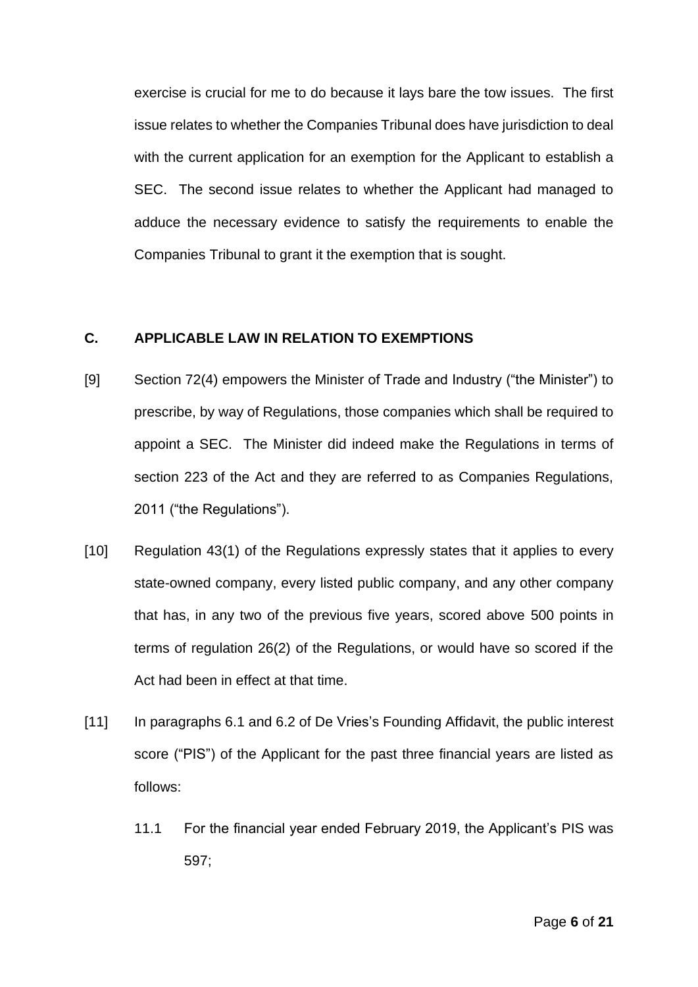exercise is crucial for me to do because it lays bare the tow issues. The first issue relates to whether the Companies Tribunal does have jurisdiction to deal with the current application for an exemption for the Applicant to establish a SEC. The second issue relates to whether the Applicant had managed to adduce the necessary evidence to satisfy the requirements to enable the Companies Tribunal to grant it the exemption that is sought.

#### **C. APPLICABLE LAW IN RELATION TO EXEMPTIONS**

- [9] Section 72(4) empowers the Minister of Trade and Industry ("the Minister") to prescribe, by way of Regulations, those companies which shall be required to appoint a SEC. The Minister did indeed make the Regulations in terms of section 223 of the Act and they are referred to as Companies Regulations, 2011 ("the Regulations").
- [10] Regulation 43(1) of the Regulations expressly states that it applies to every state-owned company, every listed public company, and any other company that has, in any two of the previous five years, scored above 500 points in terms of regulation 26(2) of the Regulations, or would have so scored if the Act had been in effect at that time.
- [11] In paragraphs 6.1 and 6.2 of De Vries's Founding Affidavit, the public interest score ("PIS") of the Applicant for the past three financial years are listed as follows:
	- 11.1 For the financial year ended February 2019, the Applicant's PIS was 597;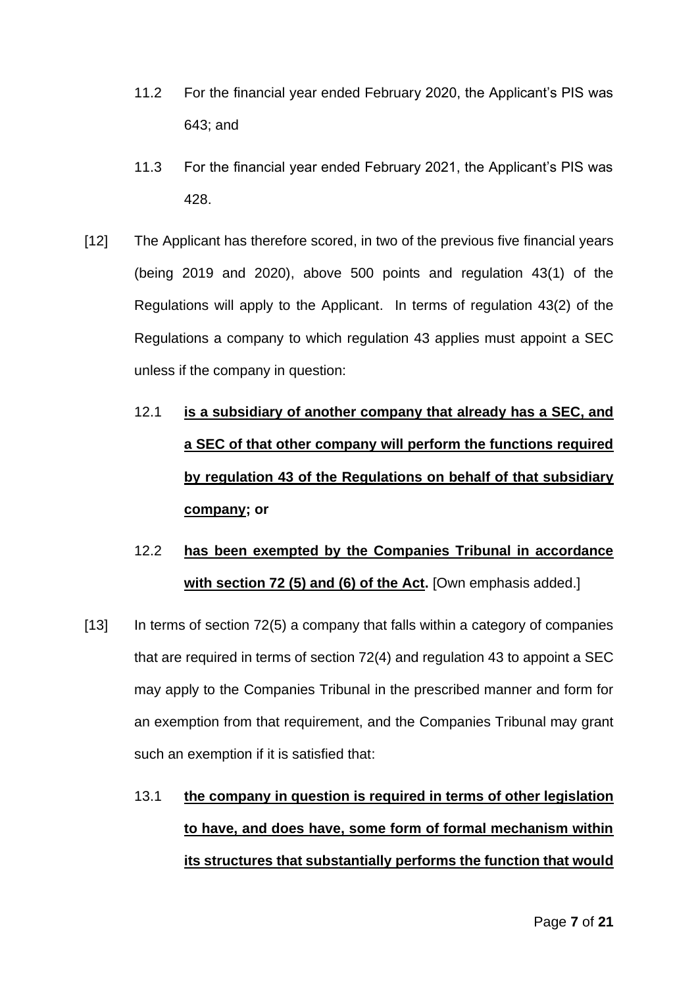- 11.2 For the financial year ended February 2020, the Applicant's PIS was 643; and
- 11.3 For the financial year ended February 2021, the Applicant's PIS was 428.
- [12] The Applicant has therefore scored, in two of the previous five financial years (being 2019 and 2020), above 500 points and regulation 43(1) of the Regulations will apply to the Applicant. In terms of regulation 43(2) of the Regulations a company to which regulation 43 applies must appoint a SEC unless if the company in question:
	- 12.1 **is a subsidiary of another company that already has a SEC, and a SEC of that other company will perform the functions required by regulation 43 of the Regulations on behalf of that subsidiary company; or**
	- 12.2 **has been exempted by the Companies Tribunal in accordance with section 72 (5) and (6) of the Act.** [Own emphasis added.]
- [13] In terms of section 72(5) a company that falls within a category of companies that are required in terms of section 72(4) and regulation 43 to appoint a SEC may apply to the Companies Tribunal in the prescribed manner and form for an exemption from that requirement, and the Companies Tribunal may grant such an exemption if it is satisfied that:
	- 13.1 **the company in question is required in terms of other legislation to have, and does have, some form of formal mechanism within its structures that substantially performs the function that would**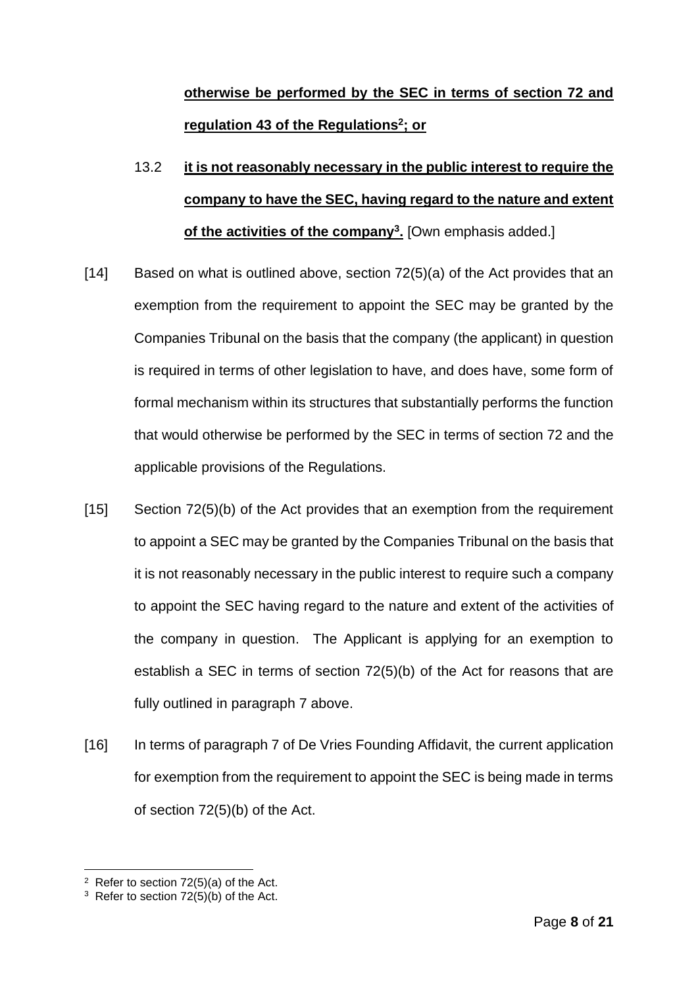# **otherwise be performed by the SEC in terms of section 72 and regulation 43 of the Regulations<sup>2</sup> ; or**

- 13.2 **it is not reasonably necessary in the public interest to require the company to have the SEC, having regard to the nature and extent of the activities of the company<sup>3</sup> .** [Own emphasis added.]
- [14] Based on what is outlined above, section 72(5)(a) of the Act provides that an exemption from the requirement to appoint the SEC may be granted by the Companies Tribunal on the basis that the company (the applicant) in question is required in terms of other legislation to have, and does have, some form of formal mechanism within its structures that substantially performs the function that would otherwise be performed by the SEC in terms of section 72 and the applicable provisions of the Regulations.
- [15] Section 72(5)(b) of the Act provides that an exemption from the requirement to appoint a SEC may be granted by the Companies Tribunal on the basis that it is not reasonably necessary in the public interest to require such a company to appoint the SEC having regard to the nature and extent of the activities of the company in question. The Applicant is applying for an exemption to establish a SEC in terms of section 72(5)(b) of the Act for reasons that are fully outlined in paragraph 7 above.
- [16] In terms of paragraph 7 of De Vries Founding Affidavit, the current application for exemption from the requirement to appoint the SEC is being made in terms of section 72(5)(b) of the Act.

 $2$  Refer to section 72(5)(a) of the Act.

<sup>&</sup>lt;sup>3</sup> Refer to section  $72(5)(b)$  of the Act.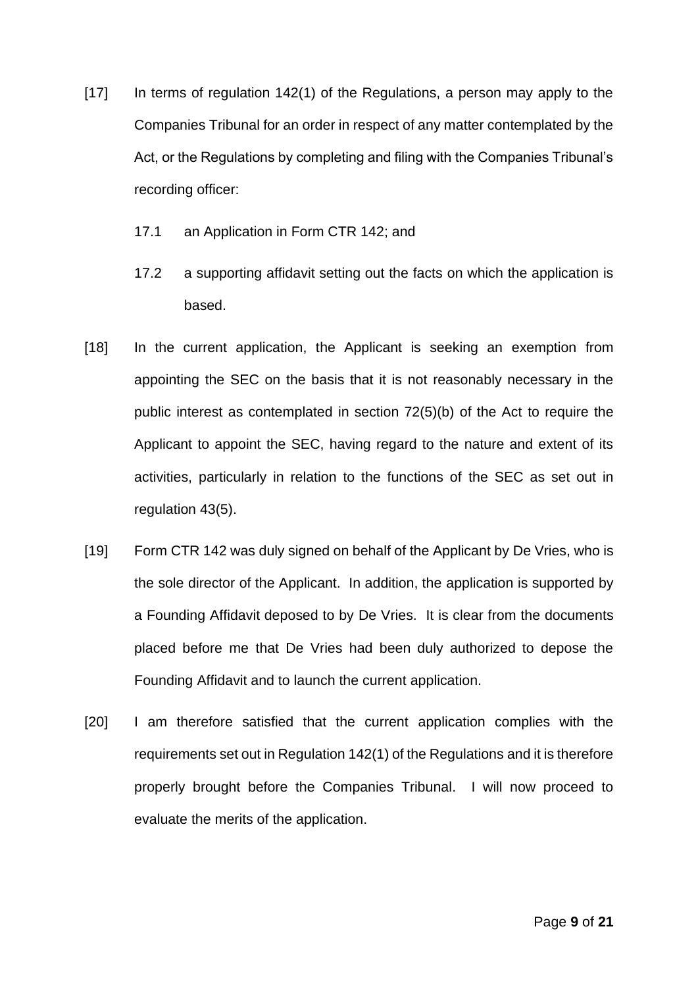- [17] In terms of regulation 142(1) of the Regulations, a person may apply to the Companies Tribunal for an order in respect of any matter contemplated by the Act, or the Regulations by completing and filing with the Companies Tribunal's recording officer:
	- 17.1 an Application in Form CTR 142; and
	- 17.2 a supporting affidavit setting out the facts on which the application is based.
- [18] In the current application, the Applicant is seeking an exemption from appointing the SEC on the basis that it is not reasonably necessary in the public interest as contemplated in section 72(5)(b) of the Act to require the Applicant to appoint the SEC, having regard to the nature and extent of its activities, particularly in relation to the functions of the SEC as set out in regulation 43(5).
- [19] Form CTR 142 was duly signed on behalf of the Applicant by De Vries, who is the sole director of the Applicant. In addition, the application is supported by a Founding Affidavit deposed to by De Vries. It is clear from the documents placed before me that De Vries had been duly authorized to depose the Founding Affidavit and to launch the current application.
- [20] I am therefore satisfied that the current application complies with the requirements set out in Regulation 142(1) of the Regulations and it is therefore properly brought before the Companies Tribunal. I will now proceed to evaluate the merits of the application.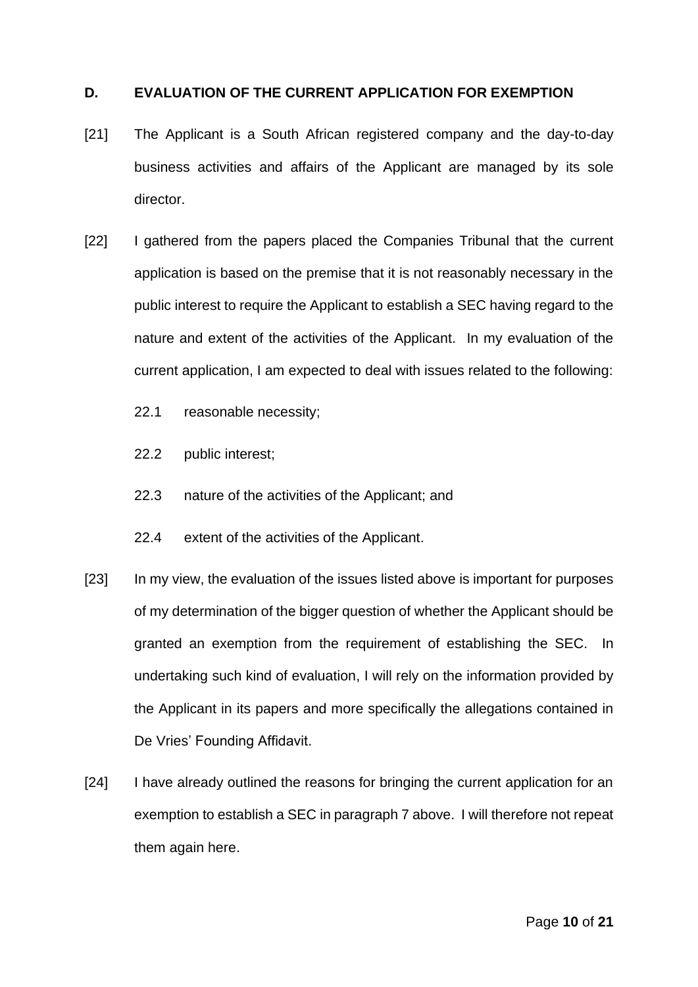#### **D. EVALUATION OF THE CURRENT APPLICATION FOR EXEMPTION**

- [21] The Applicant is a South African registered company and the day-to-day business activities and affairs of the Applicant are managed by its sole director.
- [22] I gathered from the papers placed the Companies Tribunal that the current application is based on the premise that it is not reasonably necessary in the public interest to require the Applicant to establish a SEC having regard to the nature and extent of the activities of the Applicant. In my evaluation of the current application, I am expected to deal with issues related to the following:
	- 22.1 reasonable necessity;
	- 22.2 public interest;
	- 22.3 nature of the activities of the Applicant; and
	- 22.4 extent of the activities of the Applicant.
- [23] In my view, the evaluation of the issues listed above is important for purposes of my determination of the bigger question of whether the Applicant should be granted an exemption from the requirement of establishing the SEC. In undertaking such kind of evaluation, I will rely on the information provided by the Applicant in its papers and more specifically the allegations contained in De Vries' Founding Affidavit.
- [24] I have already outlined the reasons for bringing the current application for an exemption to establish a SEC in paragraph 7 above. I will therefore not repeat them again here.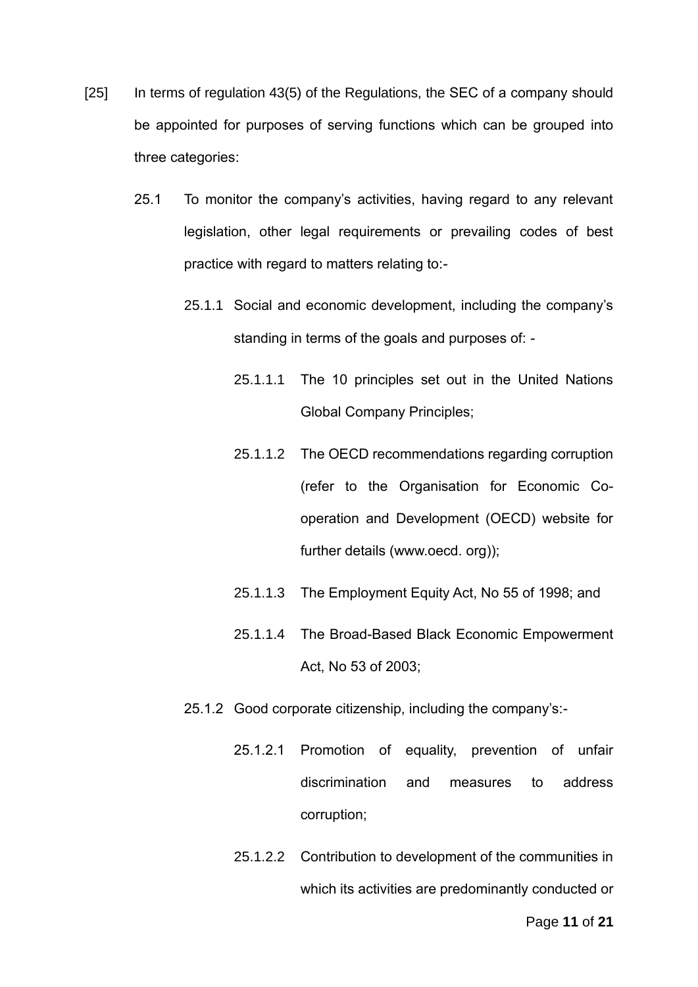- [25] In terms of regulation 43(5) of the Regulations, the SEC of a company should be appointed for purposes of serving functions which can be grouped into three categories:
	- 25.1 To monitor the company's activities, having regard to any relevant legislation, other legal requirements or prevailing codes of best practice with regard to matters relating to:-
		- 25.1.1 Social and economic development, including the company's standing in terms of the goals and purposes of: -
			- 25.1.1.1 The 10 principles set out in the United Nations Global Company Principles;
			- 25.1.1.2 The OECD recommendations regarding corruption (refer to the Organisation for Economic Cooperation and Development (OECD) website for further details (www.oecd. org));
			- 25.1.1.3 The Employment Equity Act, No 55 of 1998; and
			- 25.1.1.4 The Broad-Based Black Economic Empowerment Act, No 53 of 2003;
		- 25.1.2 Good corporate citizenship, including the company's:-
			- 25.1.2.1 Promotion of equality, prevention of unfair discrimination and measures to address corruption;
			- 25.1.2.2 Contribution to development of the communities in which its activities are predominantly conducted or

Page **11** of **21**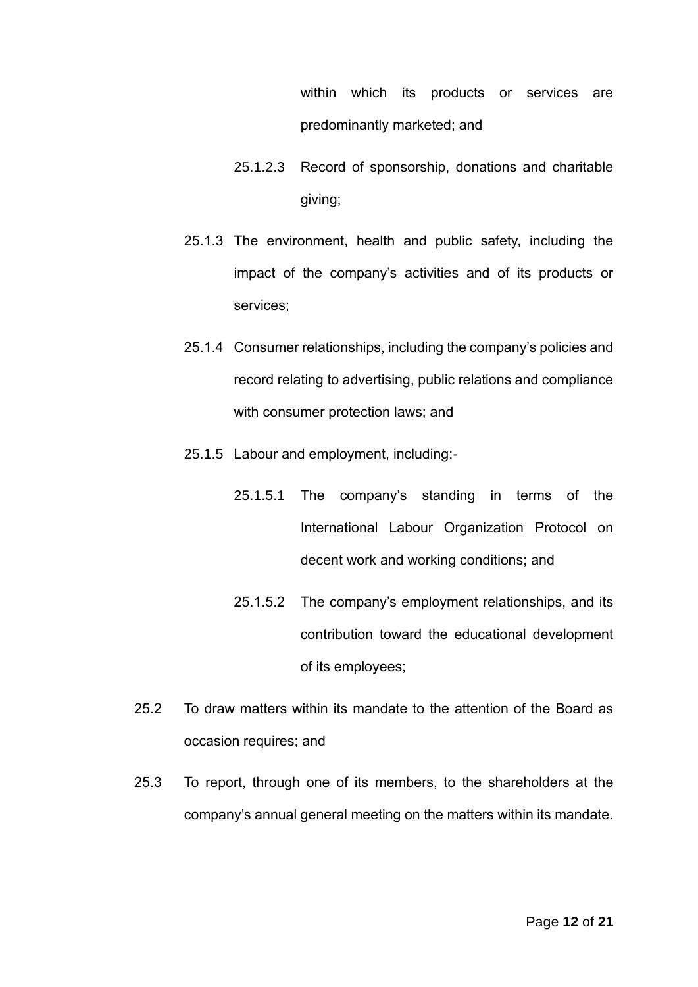within which its products or services are predominantly marketed; and

- 25.1.2.3 Record of sponsorship, donations and charitable giving;
- 25.1.3 The environment, health and public safety, including the impact of the company's activities and of its products or services;
- 25.1.4 Consumer relationships, including the company's policies and record relating to advertising, public relations and compliance with consumer protection laws; and
- 25.1.5 Labour and employment, including:-
	- 25.1.5.1 The company's standing in terms of the International Labour Organization Protocol on decent work and working conditions; and
	- 25.1.5.2 The company's employment relationships, and its contribution toward the educational development of its employees;
- 25.2 To draw matters within its mandate to the attention of the Board as occasion requires; and
- 25.3 To report, through one of its members, to the shareholders at the company's annual general meeting on the matters within its mandate.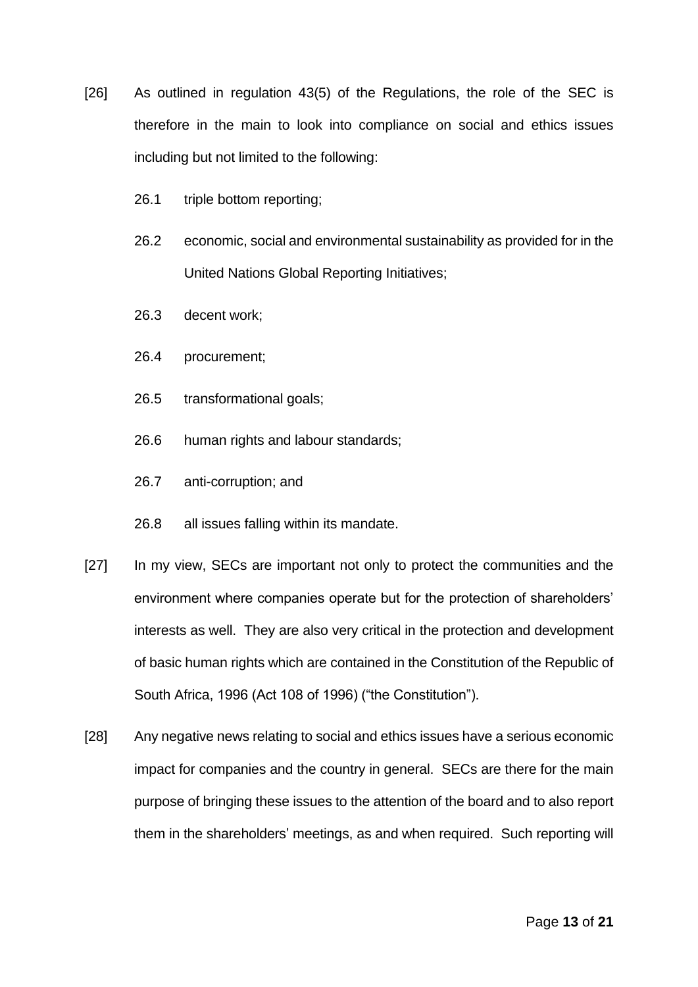- [26] As outlined in regulation 43(5) of the Regulations, the role of the SEC is therefore in the main to look into compliance on social and ethics issues including but not limited to the following:
	- 26.1 triple bottom reporting;
	- 26.2 economic, social and environmental sustainability as provided for in the United Nations Global Reporting Initiatives;
	- 26.3 decent work;
	- 26.4 procurement;
	- 26.5 transformational goals;
	- 26.6 human rights and labour standards;
	- 26.7 anti-corruption; and
	- 26.8 all issues falling within its mandate.
- [27] In my view, SECs are important not only to protect the communities and the environment where companies operate but for the protection of shareholders' interests as well. They are also very critical in the protection and development of basic human rights which are contained in the Constitution of the Republic of South Africa, 1996 (Act 108 of 1996) ("the Constitution").
- [28] Any negative news relating to social and ethics issues have a serious economic impact for companies and the country in general. SECs are there for the main purpose of bringing these issues to the attention of the board and to also report them in the shareholders' meetings, as and when required. Such reporting will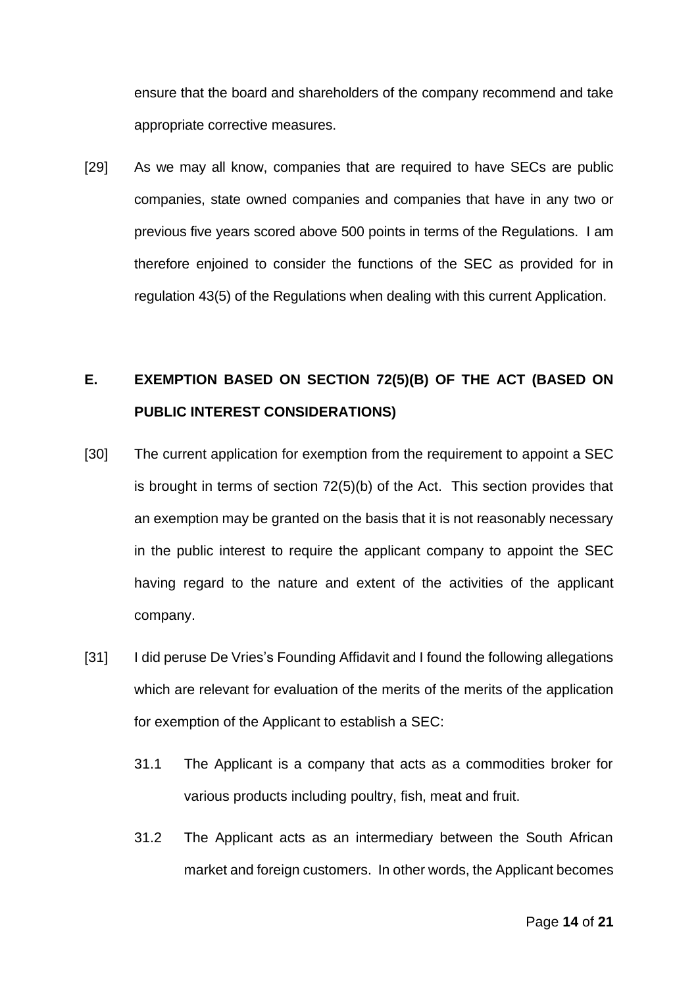ensure that the board and shareholders of the company recommend and take appropriate corrective measures.

[29] As we may all know, companies that are required to have SECs are public companies, state owned companies and companies that have in any two or previous five years scored above 500 points in terms of the Regulations. I am therefore enjoined to consider the functions of the SEC as provided for in regulation 43(5) of the Regulations when dealing with this current Application.

# **E. EXEMPTION BASED ON SECTION 72(5)(B) OF THE ACT (BASED ON PUBLIC INTEREST CONSIDERATIONS)**

- [30] The current application for exemption from the requirement to appoint a SEC is brought in terms of section 72(5)(b) of the Act. This section provides that an exemption may be granted on the basis that it is not reasonably necessary in the public interest to require the applicant company to appoint the SEC having regard to the nature and extent of the activities of the applicant company.
- [31] I did peruse De Vries's Founding Affidavit and I found the following allegations which are relevant for evaluation of the merits of the merits of the application for exemption of the Applicant to establish a SEC:
	- 31.1 The Applicant is a company that acts as a commodities broker for various products including poultry, fish, meat and fruit.
	- 31.2 The Applicant acts as an intermediary between the South African market and foreign customers. In other words, the Applicant becomes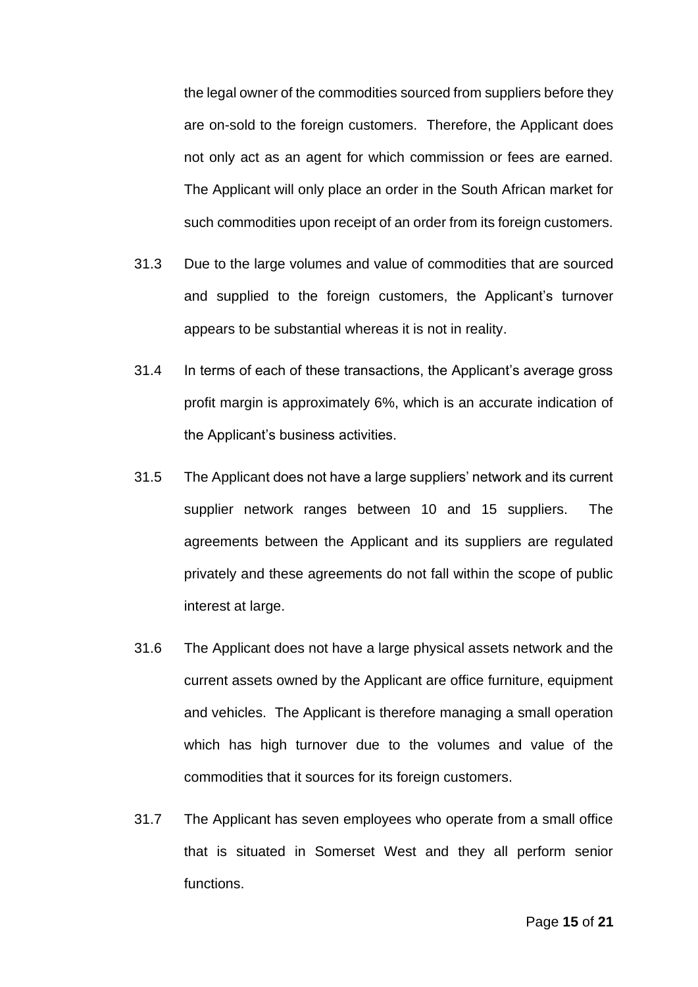the legal owner of the commodities sourced from suppliers before they are on-sold to the foreign customers. Therefore, the Applicant does not only act as an agent for which commission or fees are earned. The Applicant will only place an order in the South African market for such commodities upon receipt of an order from its foreign customers.

- 31.3 Due to the large volumes and value of commodities that are sourced and supplied to the foreign customers, the Applicant's turnover appears to be substantial whereas it is not in reality.
- 31.4 In terms of each of these transactions, the Applicant's average gross profit margin is approximately 6%, which is an accurate indication of the Applicant's business activities.
- 31.5 The Applicant does not have a large suppliers' network and its current supplier network ranges between 10 and 15 suppliers. The agreements between the Applicant and its suppliers are regulated privately and these agreements do not fall within the scope of public interest at large.
- 31.6 The Applicant does not have a large physical assets network and the current assets owned by the Applicant are office furniture, equipment and vehicles. The Applicant is therefore managing a small operation which has high turnover due to the volumes and value of the commodities that it sources for its foreign customers.
- 31.7 The Applicant has seven employees who operate from a small office that is situated in Somerset West and they all perform senior functions.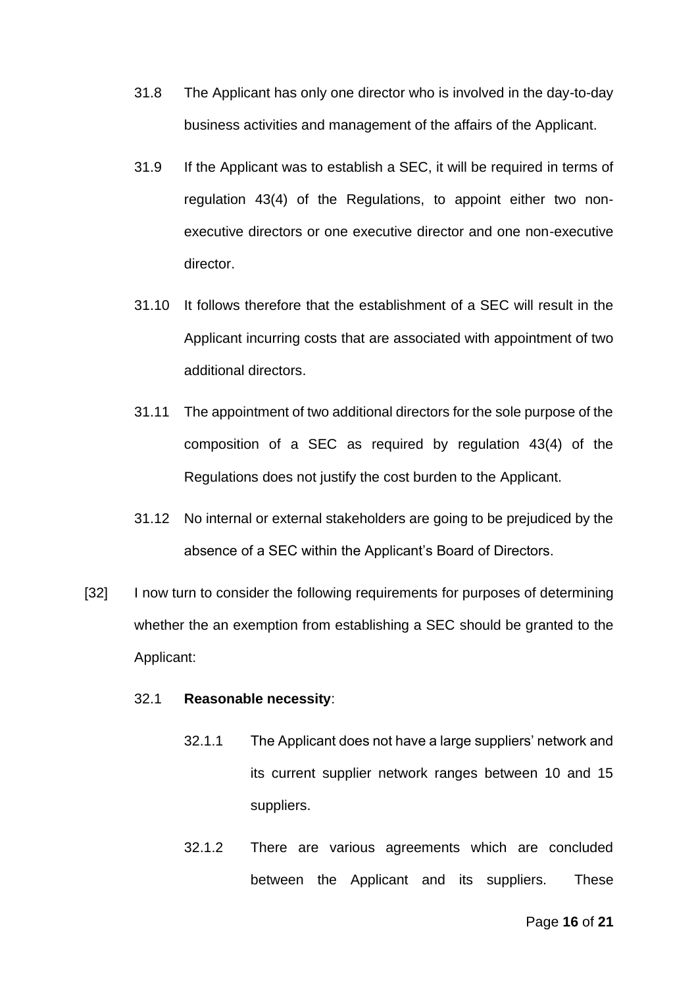- 31.8 The Applicant has only one director who is involved in the day-to-day business activities and management of the affairs of the Applicant.
- 31.9 If the Applicant was to establish a SEC, it will be required in terms of regulation 43(4) of the Regulations, to appoint either two nonexecutive directors or one executive director and one non-executive director.
- 31.10 It follows therefore that the establishment of a SEC will result in the Applicant incurring costs that are associated with appointment of two additional directors.
- 31.11 The appointment of two additional directors for the sole purpose of the composition of a SEC as required by regulation 43(4) of the Regulations does not justify the cost burden to the Applicant.
- 31.12 No internal or external stakeholders are going to be prejudiced by the absence of a SEC within the Applicant's Board of Directors.
- [32] I now turn to consider the following requirements for purposes of determining whether the an exemption from establishing a SEC should be granted to the Applicant:

#### 32.1 **Reasonable necessity**:

- 32.1.1 The Applicant does not have a large suppliers' network and its current supplier network ranges between 10 and 15 suppliers.
- 32.1.2 There are various agreements which are concluded between the Applicant and its suppliers. These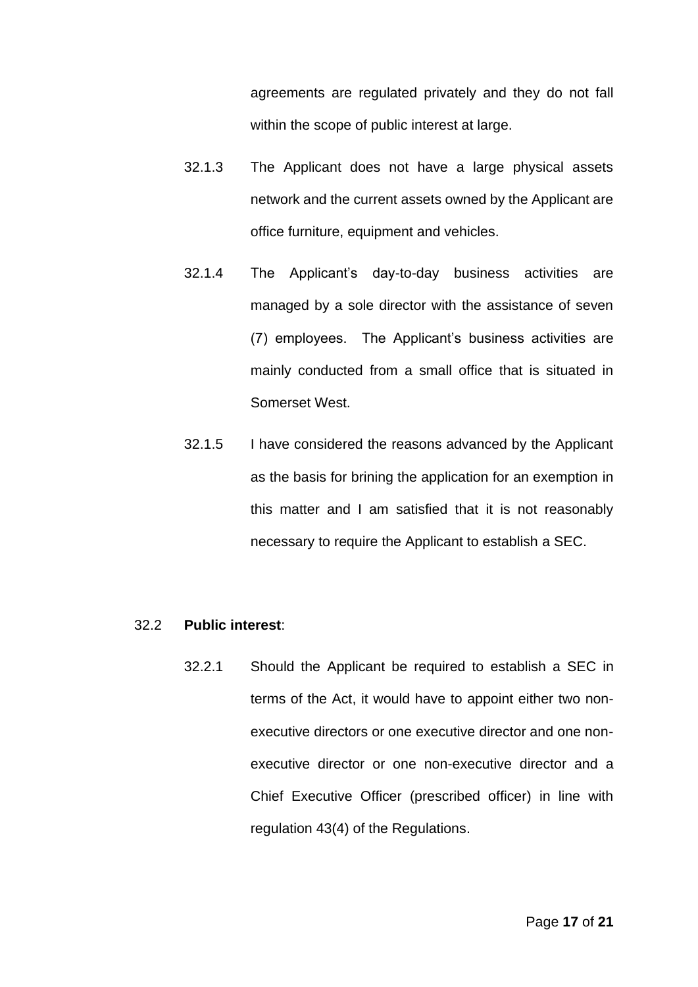agreements are regulated privately and they do not fall within the scope of public interest at large.

- 32.1.3 The Applicant does not have a large physical assets network and the current assets owned by the Applicant are office furniture, equipment and vehicles.
- 32.1.4 The Applicant's day-to-day business activities are managed by a sole director with the assistance of seven (7) employees. The Applicant's business activities are mainly conducted from a small office that is situated in Somerset West.
- 32.1.5 I have considered the reasons advanced by the Applicant as the basis for brining the application for an exemption in this matter and I am satisfied that it is not reasonably necessary to require the Applicant to establish a SEC.

#### 32.2 **Public interest**:

32.2.1 Should the Applicant be required to establish a SEC in terms of the Act, it would have to appoint either two nonexecutive directors or one executive director and one nonexecutive director or one non-executive director and a Chief Executive Officer (prescribed officer) in line with regulation 43(4) of the Regulations.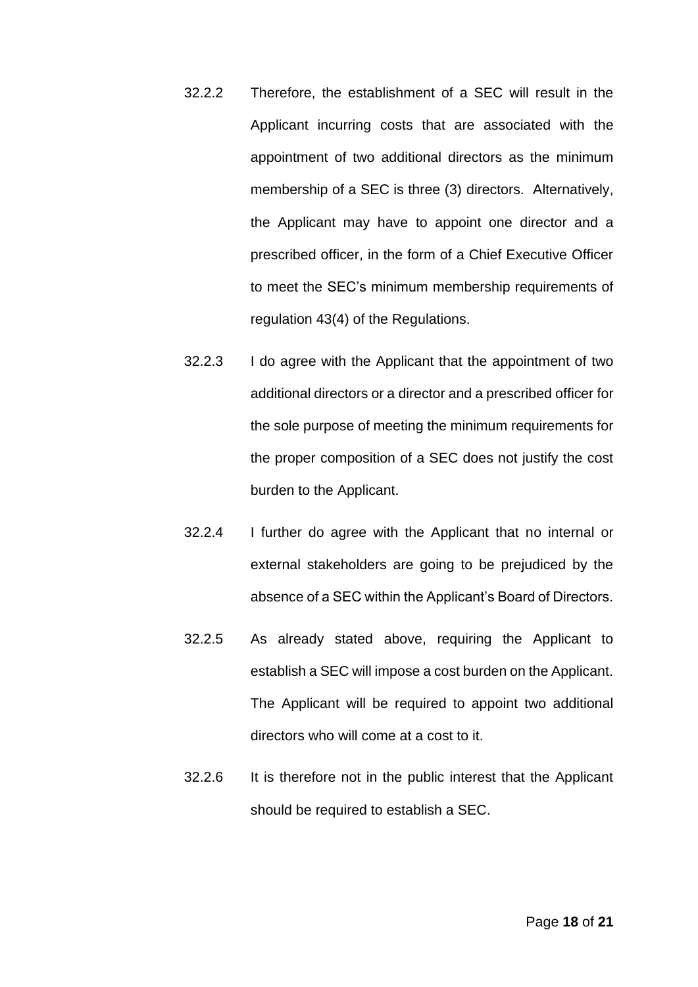- 32.2.2 Therefore, the establishment of a SEC will result in the Applicant incurring costs that are associated with the appointment of two additional directors as the minimum membership of a SEC is three (3) directors. Alternatively, the Applicant may have to appoint one director and a prescribed officer, in the form of a Chief Executive Officer to meet the SEC's minimum membership requirements of regulation 43(4) of the Regulations.
- 32.2.3 I do agree with the Applicant that the appointment of two additional directors or a director and a prescribed officer for the sole purpose of meeting the minimum requirements for the proper composition of a SEC does not justify the cost burden to the Applicant.
- 32.2.4 I further do agree with the Applicant that no internal or external stakeholders are going to be prejudiced by the absence of a SEC within the Applicant's Board of Directors.
- 32.2.5 As already stated above, requiring the Applicant to establish a SEC will impose a cost burden on the Applicant. The Applicant will be required to appoint two additional directors who will come at a cost to it.
- 32.2.6 It is therefore not in the public interest that the Applicant should be required to establish a SEC.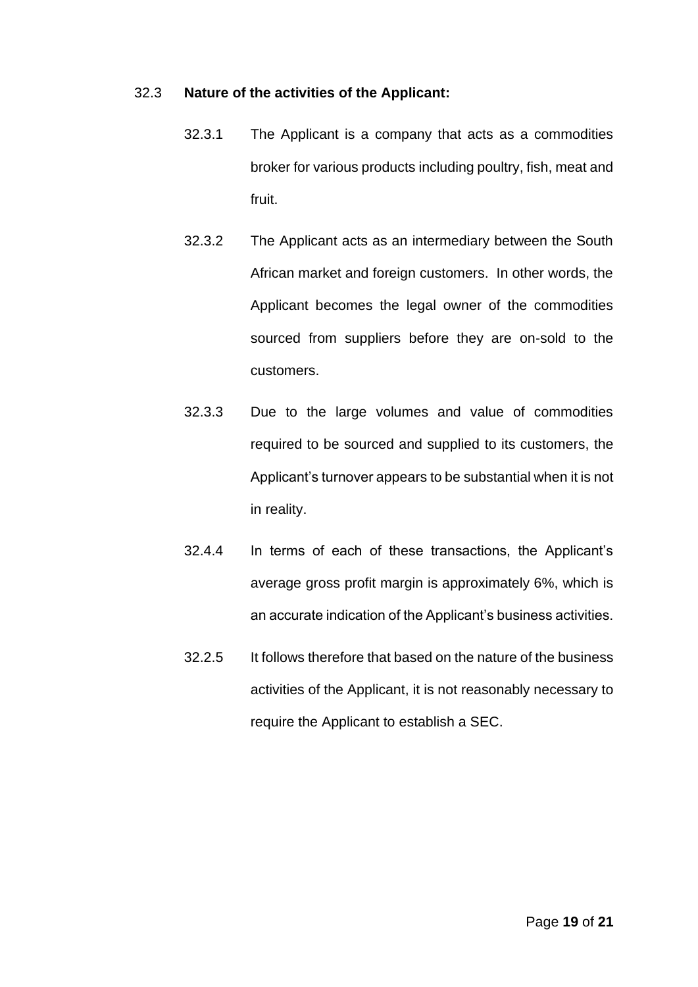#### 32.3 **Nature of the activities of the Applicant:**

- 32.3.1 The Applicant is a company that acts as a commodities broker for various products including poultry, fish, meat and fruit.
- 32.3.2 The Applicant acts as an intermediary between the South African market and foreign customers. In other words, the Applicant becomes the legal owner of the commodities sourced from suppliers before they are on-sold to the customers.
- 32.3.3 Due to the large volumes and value of commodities required to be sourced and supplied to its customers, the Applicant's turnover appears to be substantial when it is not in reality.
- 32.4.4 In terms of each of these transactions, the Applicant's average gross profit margin is approximately 6%, which is an accurate indication of the Applicant's business activities.
- 32.2.5 It follows therefore that based on the nature of the business activities of the Applicant, it is not reasonably necessary to require the Applicant to establish a SEC.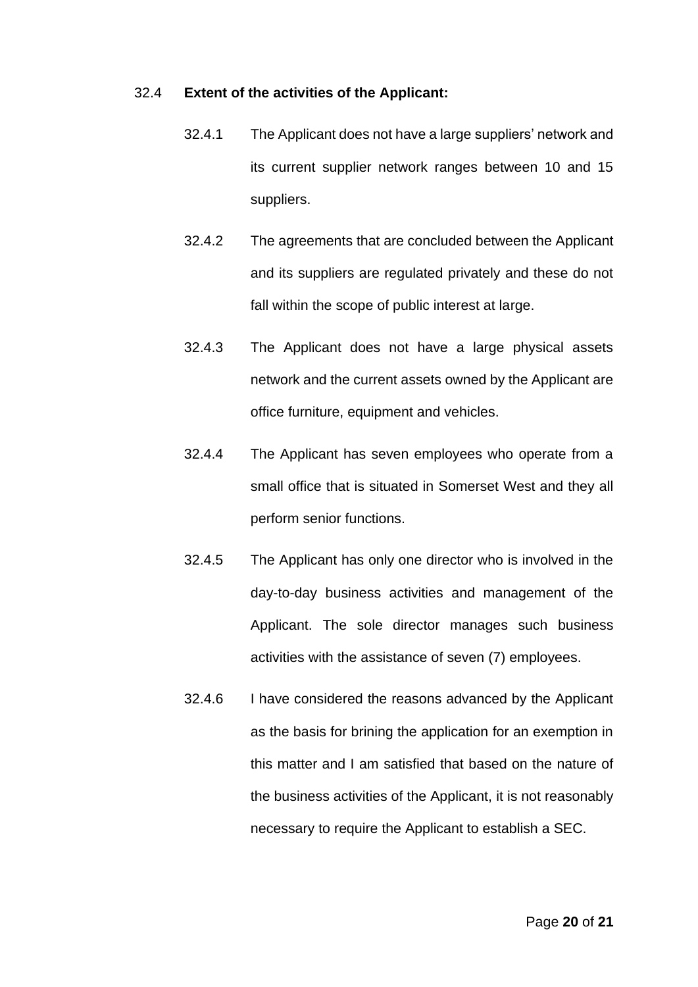#### 32.4 **Extent of the activities of the Applicant:**

- 32.4.1 The Applicant does not have a large suppliers' network and its current supplier network ranges between 10 and 15 suppliers.
- 32.4.2 The agreements that are concluded between the Applicant and its suppliers are regulated privately and these do not fall within the scope of public interest at large.
- 32.4.3 The Applicant does not have a large physical assets network and the current assets owned by the Applicant are office furniture, equipment and vehicles.
- 32.4.4 The Applicant has seven employees who operate from a small office that is situated in Somerset West and they all perform senior functions.
- 32.4.5 The Applicant has only one director who is involved in the day-to-day business activities and management of the Applicant. The sole director manages such business activities with the assistance of seven (7) employees.
- 32.4.6 I have considered the reasons advanced by the Applicant as the basis for brining the application for an exemption in this matter and I am satisfied that based on the nature of the business activities of the Applicant, it is not reasonably necessary to require the Applicant to establish a SEC.